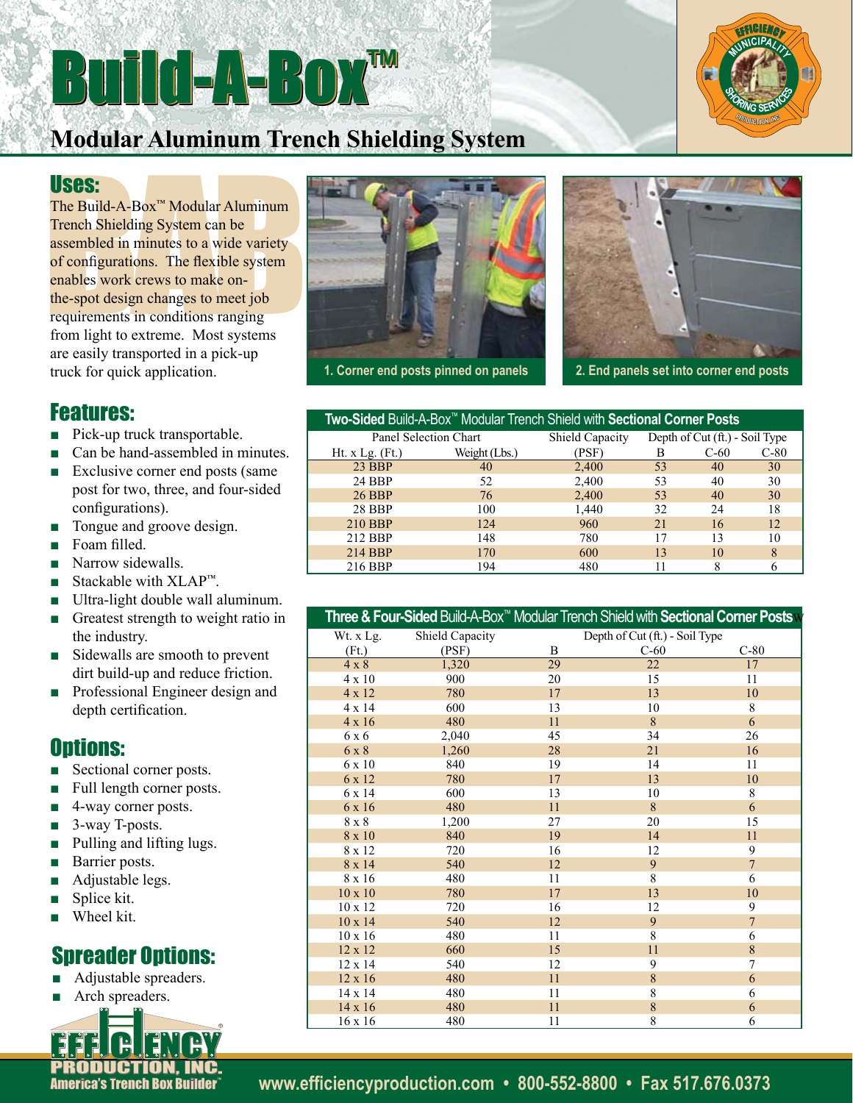## Build-A-Box™



## **Modular Aluminum Trench Shielding System**

#### Uses:

**USES:**<br>
The Build-A-Box<sup> $m$ </sup> Modular Aluminum<br>
Trench Shielding System can be<br>
assembled in minutes to a wide variety<br>
of configurations. The flexible system<br>
enables work crews to make on-<br>
the-spot design changes to me The Build-A-Box™ Modular Aluminum Trench Shielding System can be assembled in minutes to a wide variety of configurations. The flexible system enables work crews to make onthe-spot design changes to meet job requirements in conditions ranging from light to extreme. Most systems are easily transported in a pick-up truck for quick application.

#### Features:

- Pick-up truck transportable.
- Can be hand-assembled in minutes.
- Exclusive corner end posts (same post for two, three, and four-sided configurations).
- Tongue and groove design.
- Foam filled.
- Narrow sidewalls.
- Stackable with  $XLAP^m$ .
- Ultra-light double wall aluminum.
- Greatest strength to weight ratio in the industry.
- Sidewalls are smooth to prevent dirt build-up and reduce friction.
- Professional Engineer design and depth certification.

### Options:

- Sectional corner posts.
- Full length corner posts.
- 4-way corner posts.
- 3-way T-posts.
- Pulling and lifting lugs.
- Barrier posts.
- Adjustable legs.
- Splice kit.
- Wheel kit.

### **Spreader Options:**

- Adjustable spreaders.
- Arch spreaders.







| Two-Sided Build-A-Box™ Modular Trench Shield with Sectional Corner Posts |               |                        |                                |        |        |
|--------------------------------------------------------------------------|---------------|------------------------|--------------------------------|--------|--------|
| Panel Selection Chart                                                    |               | <b>Shield Capacity</b> | Depth of Cut (ft.) - Soil Type |        |        |
| Ht. $x$ Lg. $(Ft)$                                                       | Weight (Lbs.) | PSF)                   | В                              | $C-60$ | $C-80$ |
| 23 BBP                                                                   | 40            | 2,400                  | 53                             | 40     | 30     |
| 24 BBP                                                                   | 52            | 2,400                  | 53                             | 40     | 30     |
| <b>26 BBP</b>                                                            | 76            | 2,400                  | 53                             | 40     | 30     |
| 28 BBP                                                                   | 100           | 1,440                  | 32                             | 24     | 18     |
| 210 BBP                                                                  | 124           | 960                    | 21                             | 16     | 12.    |
| 212 BBP                                                                  | 148           | 780                    | 17                             | 13     | 10     |
| 214 BBP                                                                  | 170           | 600                    | 13                             | 10     | 8      |
| 216 BBP                                                                  | 194           | 480                    |                                | 8      | 6      |

|                |                 |    | Three & Four-Sided Build-A-Box™ Modular Trench Shield with <b>Sectional Corner Posts</b> N |                |
|----------------|-----------------|----|--------------------------------------------------------------------------------------------|----------------|
| Wt. x Lg.      | Shield Capacity |    | Depth of Cut (ft.) - Soil Type                                                             |                |
| (Ft.)          | (PSF)           | B  | $C-60$                                                                                     | $C-80$         |
| $4 \times 8$   | 1,320           | 29 | 22                                                                                         | 17             |
| $4 \times 10$  | 900             | 20 | 15                                                                                         | 11             |
| 4 x 12         | 780             | 17 | 13                                                                                         | 10             |
| 4 x 14         | 600             | 13 | 10                                                                                         | 8              |
| 4 x 16         | 480             | 11 | 8                                                                                          | 6              |
| 6 x 6          | 2,040           | 45 | 34                                                                                         | 26             |
| 6 x 8          | 1,260           | 28 | 21                                                                                         | 16             |
| 6 x 10         | 840             | 19 | 14                                                                                         | 11             |
| 6 x 12         | 780             | 17 | 13                                                                                         | 10             |
| 6 x 14         | 600             | 13 | 10                                                                                         | 8              |
| 6 x 16         | 480             | 11 | 8                                                                                          | 6              |
| 8 x 8          | 1,200           | 27 | 20                                                                                         | 15             |
| 8 x 10         | 840             | 19 | 14                                                                                         | 11             |
| 8 x 12         | 720             | 16 | 12                                                                                         | 9              |
| 8 x 14         | 540             | 12 | 9                                                                                          | $\overline{7}$ |
| 8 x 16         | 480             | 11 | 8                                                                                          | 6              |
| $10 \times 10$ | 780             | 17 | 13                                                                                         | 10             |
| $10 \times 12$ | 720             | 16 | 12                                                                                         | 9              |
| 10 x 14        | 540             | 12 | 9                                                                                          | $\overline{7}$ |
| $10 \times 16$ | 480             | 11 | 8                                                                                          | 6              |
| 12 x 12        | 660             | 15 | 11                                                                                         | 8              |
| 12 x 14        | 540             | 12 | 9                                                                                          | 7              |
| $12 \times 16$ | 480             | 11 | $\overline{8}$                                                                             | 6              |
| 14 x 14        | 480             | 11 | $\overline{8}$                                                                             | 6              |
| $14 \times 16$ | 480             | 11 | 8                                                                                          | 6              |
| $16 \times 16$ | 480             | 11 | 8                                                                                          | 6              |